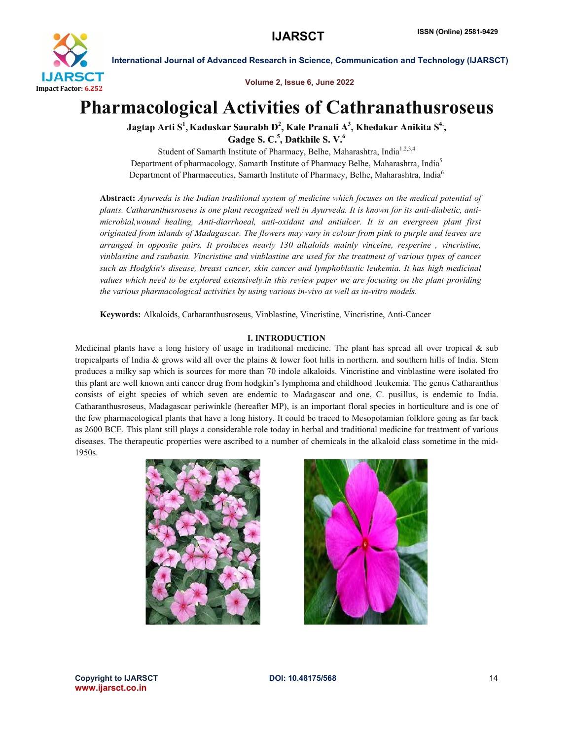

Volume 2, Issue 6, June 2022

# Pharmacological Activities of Cathranathusroseus

Jagtap Arti S $^1$ , Kaduskar Saurabh D $^2$ , Kale Pranali A $^3$ , Khedakar Anikita S $^4$ , Gadge S. C.<sup>5</sup>, Datkhile S. V.<sup>6</sup>

Student of Samarth Institute of Pharmacy, Belhe, Maharashtra, India<sup>1,2,3,4</sup> Department of pharmacology, Samarth Institute of Pharmacy Belhe, Maharashtra, India5 Department of Pharmaceutics, Samarth Institute of Pharmacy, Belhe, Maharashtra, India<sup>6</sup>

Abstract: *Ayurveda is the Indian traditional system of medicine which focuses on the medical potential of plants. Catharanthusroseus is one plant recognized well in Ayurveda. It is known for its anti-diabetic, antimicrobial,wound healing, Anti-diarrhoeal, anti-oxidant and antiulcer. It is an evergreen plant first originated from islands of Madagascar. The flowers may vary in colour from pink to purple and leaves are arranged in opposite pairs. It produces nearly 130 alkaloids mainly vinceine, resperine , vincristine, vinblastine and raubasin. Vincristine and vinblastine are used for the treatment of various types of cancer such as Hodgkin's disease, breast cancer, skin cancer and lymphoblastic leukemia. It has high medicinal values which need to be explored extensively.in this review paper we are focusing on the plant providing the various pharmacological activities by using various in-vivo as well as in-vitro models.*

Keywords: Alkaloids, Catharanthusroseus, Vinblastine, Vincristine, Vincristine, Anti-Cancer

# I. INTRODUCTION

Medicinal plants have a long history of usage in traditional medicine. The plant has spread all over tropical & sub tropicalparts of India & grows wild all over the plains & lower foot hills in northern. and southern hills of India. Stem produces a milky sap which is sources for more than 70 indole alkaloids. Vincristine and vinblastine were isolated fro this plant are well known anti cancer drug from hodgkin's lymphoma and childhood .leukemia. The genus Catharanthus consists of eight species of which seven are endemic to Madagascar and one, C. pusillus, is endemic to India. Catharanthusroseus, Madagascar periwinkle (hereafter MP), is an important floral species in horticulture and is one of the few pharmacological plants that have a long history. It could be traced to Mesopotamian folklore going as far back as 2600 BCE. This plant still plays a considerable role today in herbal and traditional medicine for treatment of various diseases. The therapeutic properties were ascribed to a number of chemicals in the alkaloid class sometime in the mid-1950s.





Copyright to IJARSCTDOI: 10.48175/568 **14** www.ijarsct.co.in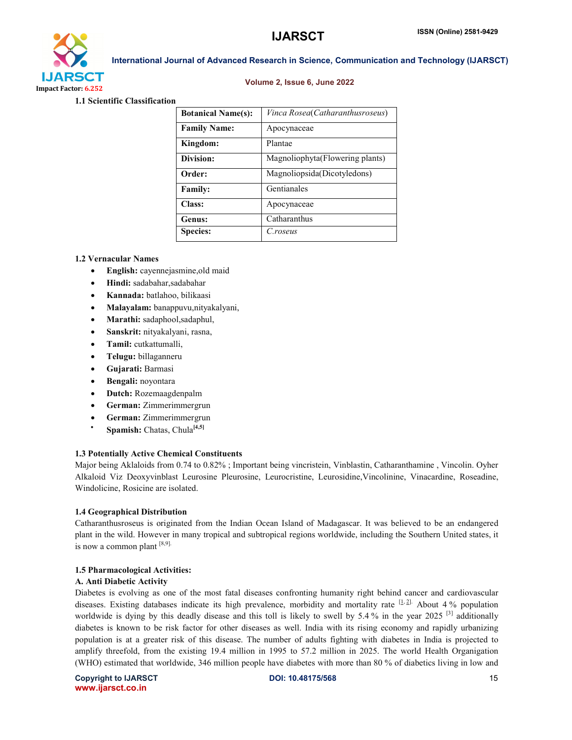

# Volume 2, Issue 6, June 2022

International Journal of Advanced Research in Science, Communication and Technology (IJARSCT)

1.1 Scientific Classification

| <b>Botanical Name(s):</b> | Vinca Rosea(Catharanthusroseus)  |
|---------------------------|----------------------------------|
| <b>Family Name:</b>       | Apocynaceae                      |
| Kingdom:                  | Plantae                          |
| Division:                 | Magnoliophyta (Flowering plants) |
| Order:                    | Magnoliopsida(Dicotyledons)      |
| <b>Family:</b>            | Gentianales                      |
| Class:                    | Apocynaceae                      |
| Genus:                    | Catharanthus                     |
| <b>Species:</b>           | C.roseus                         |

# 1.2 Vernacular Names

- English: cayennejasmine,old maid
- Hindi: sadabahar, sadabahar
- Kannada: batlahoo, bilikaasi
- Malayalam: banappuvu,nityakalyani,
- Marathi: sadaphool,sadaphul,
- Sanskrit: nityakalyani, rasna,
- Tamil: cutkattumalli,
- Telugu: billaganneru
- Gujarati: Barmasi
- Bengali: noyontara
- Dutch: Rozemaagdenpalm
- German: Zimmerimmergrun
- German: Zimmerimmergrun
- **Spamish:** Chatas, Chula<sup>[4,5]</sup>

# 1.3 Potentially Active Chemical Constituents

Major being Aklaloids from 0.74 to 0.82% ; Important being vincristein, Vinblastin, Catharanthamine , Vincolin. Oyher Alkaloid Viz Deoxyvinblast Leurosine Pleurosine, Leurocristine, Leurosidine,Vincolinine, Vinacardine, Roseadine, Windolicine, Rosicine are isolated.

# 1.4 Geographical Distribution

Catharanthusroseus is originated from the Indian Ocean Island of Madagascar. It was believed to be an endangered plant in the wild. However in many tropical and subtropical regions worldwide, including the Southern United states, it is now a common plant  $[8,9]$ .

# 1.5 Pharmacological Activities:

# A. Anti Diabetic Activity

Diabetes is evolving as one of the most fatal diseases confronting humanity right behind cancer and cardiovascular diseases. Existing databases indicate its high prevalence, morbidity and mortality rate [1,2]. About 4 % population worldwide is dying by this deadly disease and this toll is likely to swell by 5.4% in the year 2025  $[3]$  additionally diabetes is known to be risk factor for other diseases as well. India with its rising economy and rapidly urbanizing population is at a greater risk of this disease. The number of adults fighting with diabetes in India is projected to amplify threefold, from the existing 19.4 million in 1995 to 57.2 million in 2025. The world Health Organigation (WHO) estimated that worldwide, 346 million people have diabetes with more than 80 % of diabetics living in low and

Copyright to IJARSCTDOI: 10.48175/568 **15** www.ijarsct.co.in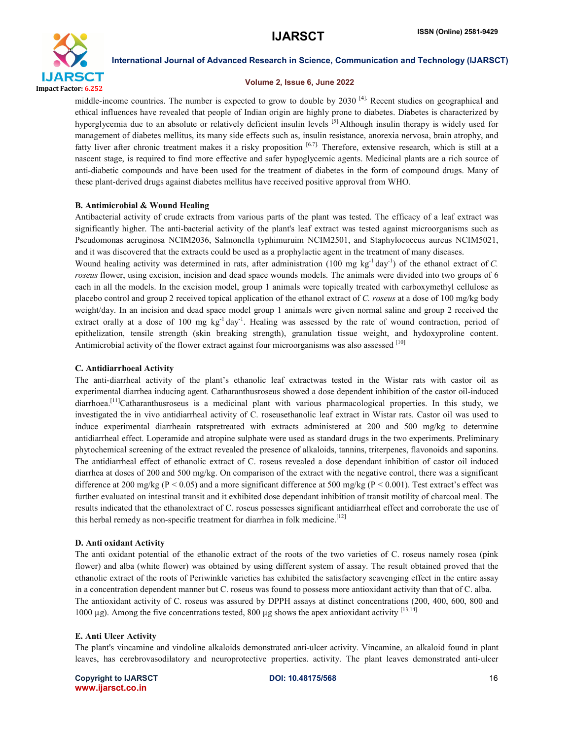

# Volume 2, Issue 6, June 2022

middle-income countries. The number is expected to grow to double by 2030  $^{[4]}$ . Recent studies on geographical and ethical influences have revealed that people of Indian origin are highly prone to diabetes. Diabetes is characterized by hyperglycemia due to an absolute or relatively deficient insulin levels [5]. Although insulin therapy is widely used for management of diabetes mellitus, its many side effects such as, insulin resistance, anorexia nervosa, brain atrophy, and fatty liver after chronic treatment makes it a risky proposition [6.7]. Therefore, extensive research, which is still at a nascent stage, is required to find more effective and safer hypoglycemic agents. Medicinal plants are a rich source of anti-diabetic compounds and have been used for the treatment of diabetes in the form of compound drugs. Many of these plant-derived drugs against diabetes mellitus have received positive approval from WHO.

# B. Antimicrobial & Wound Healing

Antibacterial activity of crude extracts from various parts of the plant was tested. The efficacy of a leaf extract was significantly higher. The anti-bacterial activity of the plant's leaf extract was tested against microorganisms such as Pseudomonas aeruginosa NCIM2036, Salmonella typhimuruim NCIM2501, and Staphylococcus aureus NCIM5021, and it was discovered that the extracts could be used as a prophylactic agent in the treatment of many diseases.

Wound healing activity was determined in rats, after administration  $(100 \text{ mg kg}^{-1} \text{ day}^{-1})$  of the ethanol extract of *C*. *roseus* flower, using excision, incision and dead space wounds models. The animals were divided into two groups of 6 each in all the models. In the excision model, group 1 animals were topically treated with carboxymethyl cellulose as placebo control and group 2 received topical application of the ethanol extract of *C. roseus* at a dose of 100 mg/kg body weight/day. In an incision and dead space model group 1 animals were given normal saline and group 2 received the extract orally at a dose of 100 mg kg<sup>-1</sup> day<sup>-1</sup>. Healing was assessed by the rate of wound contraction, period of epithelization, tensile strength (skin breaking strength), granulation tissue weight, and hydoxyproline content. Antimicrobial activity of the flower extract against four microorganisms was also assessed [10]

#### C. Antidiarrhoeal Activity

The anti-diarrheal activity of the plant's ethanolic leaf extractwas tested in the Wistar rats with castor oil as experimental diarrhea inducing agent. Catharanthusroseus showed a dose dependent inhibition of the castor oil-induced diarrhoea.<sup>[11]</sup>Catharanthusroseus is a medicinal plant with various pharmacological properties. In this study, we investigated the in vivo antidiarrheal activity of C. roseusethanolic leaf extract in Wistar rats. Castor oil was used to induce experimental diarrheain ratspretreated with extracts administered at 200 and 500 mg/kg to determine antidiarrheal effect. Loperamide and atropine sulphate were used as standard drugs in the two experiments. Preliminary phytochemical screening of the extract revealed the presence of alkaloids, tannins, triterpenes, flavonoids and saponins. The antidiarrheal effect of ethanolic extract of C. roseus revealed a dose dependant inhibition of castor oil induced diarrhea at doses of 200 and 500 mg/kg. On comparison of the extract with the negative control, there was a significant difference at 200 mg/kg ( $P \le 0.05$ ) and a more significant difference at 500 mg/kg ( $P \le 0.001$ ). Test extract's effect was further evaluated on intestinal transit and it exhibited dose dependant inhibition of transit motility of charcoal meal. The results indicated that the ethanolextract of C. roseus possesses significant antidiarrheal effect and corroborate the use of this herbal remedy as non-specific treatment for diarrhea in folk medicine.<sup>[12]</sup>

#### D. Anti oxidant Activity

The anti oxidant potential of the ethanolic extract of the roots of the two varieties of C. roseus namely rosea (pink flower) and alba (white flower) was obtained by using different system of assay. The result obtained proved that the ethanolic extract of the roots of Periwinkle varieties has exhibited the satisfactory scavenging effect in the entire assay in a concentration dependent manner but C. roseus was found to possess more antioxidant activity than that of C. alba. The antioxidant activity of C. roseus was assured by DPPH assays at distinct concentrations (200, 400, 600, 800 and 1000  $\mu$ g). Among the five concentrations tested, 800  $\mu$ g shows the apex antioxidant activity [13,14]

#### E. Anti Ulcer Activity

The plant's vincamine and vindoline alkaloids demonstrated anti-ulcer activity. Vincamine, an alkaloid found in plant leaves, has cerebrovasodilatory and neuroprotective properties. activity. The plant leaves demonstrated anti-ulcer

Copyright to IJARSCTDOI: 10.48175/568 **16** www.ijarsct.co.in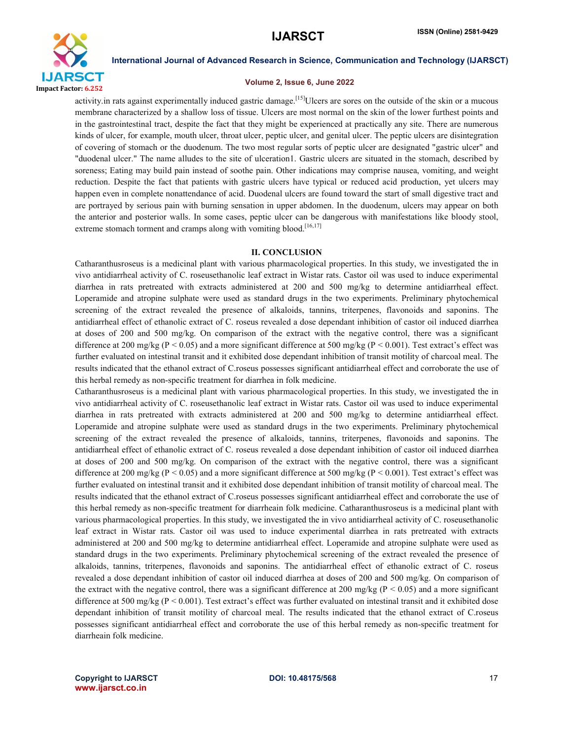

# Volume 2, Issue 6, June 2022

activity in rats against experimentally induced gastric damage.<sup>[15]</sup>Ulcers are sores on the outside of the skin or a mucous membrane characterized by a shallow loss of tissue. Ulcers are most normal on the skin of the lower furthest points and in the gastrointestinal tract, despite the fact that they might be experienced at practically any site. There are numerous kinds of ulcer, for example, mouth ulcer, throat ulcer, peptic ulcer, and genital ulcer. The peptic ulcers are disintegration of covering of stomach or the duodenum. The two most regular sorts of peptic ulcer are designated "gastric ulcer" and "duodenal ulcer." The name alludes to the site of ulceration1. Gastric ulcers are situated in the stomach, described by soreness; Eating may build pain instead of soothe pain. Other indications may comprise nausea, vomiting, and weight reduction. Despite the fact that patients with gastric ulcers have typical or reduced acid production, yet ulcers may happen even in complete nonattendance of acid. Duodenal ulcers are found toward the start of small digestive tract and are portrayed by serious pain with burning sensation in upper abdomen. In the duodenum, ulcers may appear on both the anterior and posterior walls. In some cases, peptic ulcer can be dangerous with manifestations like bloody stool, extreme stomach torment and cramps along with vomiting blood.<sup>[16,17]</sup>

#### II. CONCLUSION

Catharanthusroseus is a medicinal plant with various pharmacological properties. In this study, we investigated the in vivo antidiarrheal activity of C. roseusethanolic leaf extract in Wistar rats. Castor oil was used to induce experimental diarrhea in rats pretreated with extracts administered at 200 and 500 mg/kg to determine antidiarrheal effect. Loperamide and atropine sulphate were used as standard drugs in the two experiments. Preliminary phytochemical screening of the extract revealed the presence of alkaloids, tannins, triterpenes, flavonoids and saponins. The antidiarrheal effect of ethanolic extract of C. roseus revealed a dose dependant inhibition of castor oil induced diarrhea at doses of 200 and 500 mg/kg. On comparison of the extract with the negative control, there was a significant difference at 200 mg/kg ( $P < 0.05$ ) and a more significant difference at 500 mg/kg ( $P < 0.001$ ). Test extract's effect was further evaluated on intestinal transit and it exhibited dose dependant inhibition of transit motility of charcoal meal. The results indicated that the ethanol extract of C.roseus possesses significant antidiarrheal effect and corroborate the use of this herbal remedy as non-specific treatment for diarrhea in folk medicine.

Catharanthusroseus is a medicinal plant with various pharmacological properties. In this study, we investigated the in vivo antidiarrheal activity of C. roseusethanolic leaf extract in Wistar rats. Castor oil was used to induce experimental diarrhea in rats pretreated with extracts administered at 200 and 500 mg/kg to determine antidiarrheal effect. Loperamide and atropine sulphate were used as standard drugs in the two experiments. Preliminary phytochemical screening of the extract revealed the presence of alkaloids, tannins, triterpenes, flavonoids and saponins. The antidiarrheal effect of ethanolic extract of C. roseus revealed a dose dependant inhibition of castor oil induced diarrhea at doses of 200 and 500 mg/kg. On comparison of the extract with the negative control, there was a significant difference at 200 mg/kg ( $P < 0.05$ ) and a more significant difference at 500 mg/kg ( $P < 0.001$ ). Test extract's effect was further evaluated on intestinal transit and it exhibited dose dependant inhibition of transit motility of charcoal meal. The results indicated that the ethanol extract of C.roseus possesses significant antidiarrheal effect and corroborate the use of this herbal remedy as non-specific treatment for diarrheain folk medicine. Catharanthusroseus is a medicinal plant with various pharmacological properties. In this study, we investigated the in vivo antidiarrheal activity of C. roseusethanolic leaf extract in Wistar rats. Castor oil was used to induce experimental diarrhea in rats pretreated with extracts administered at 200 and 500 mg/kg to determine antidiarrheal effect. Loperamide and atropine sulphate were used as standard drugs in the two experiments. Preliminary phytochemical screening of the extract revealed the presence of alkaloids, tannins, triterpenes, flavonoids and saponins. The antidiarrheal effect of ethanolic extract of C. roseus revealed a dose dependant inhibition of castor oil induced diarrhea at doses of 200 and 500 mg/kg. On comparison of the extract with the negative control, there was a significant difference at 200 mg/kg ( $P < 0.05$ ) and a more significant difference at 500 mg/kg (P < 0.001). Test extract's effect was further evaluated on intestinal transit and it exhibited dose dependant inhibition of transit motility of charcoal meal. The results indicated that the ethanol extract of C.roseus possesses significant antidiarrheal effect and corroborate the use of this herbal remedy as non-specific treatment for diarrheain folk medicine.

Copyright to IJARSCTDOI: 10.48175/568 **17** www.ijarsct.co.in